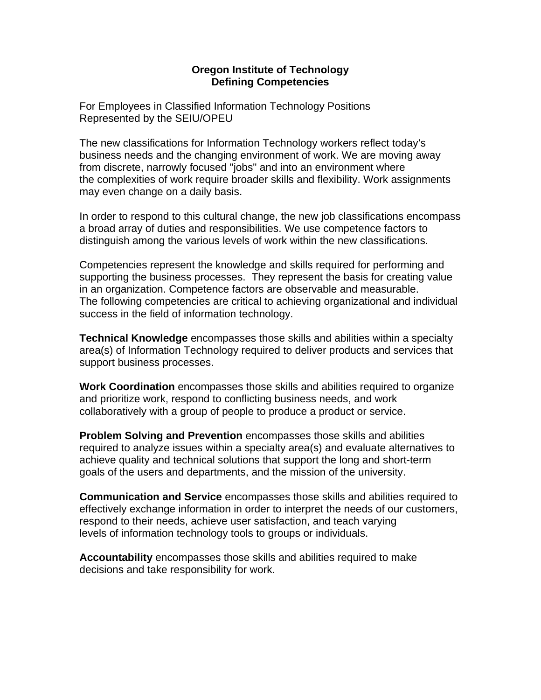## **Oregon Institute of Technology Defining Competencies**

For Employees in Classified Information Technology Positions Represented by the SEIU/OPEU

The new classifications for Information Technology workers reflect today's business needs and the changing environment of work. We are moving away from discrete, narrowly focused "jobs" and into an environment where the complexities of work require broader skills and flexibility. Work assignments may even change on a daily basis.

In order to respond to this cultural change, the new job classifications encompass a broad array of duties and responsibilities. We use competence factors to distinguish among the various levels of work within the new classifications.

Competencies represent the knowledge and skills required for performing and supporting the business processes. They represent the basis for creating value in an organization. Competence factors are observable and measurable. The following competencies are critical to achieving organizational and individual success in the field of information technology.

**Technical Knowledge** encompasses those skills and abilities within a specialty area(s) of Information Technology required to deliver products and services that support business processes.

**Work Coordination** encompasses those skills and abilities required to organize and prioritize work, respond to conflicting business needs, and work collaboratively with a group of people to produce a product or service.

**Problem Solving and Prevention** encompasses those skills and abilities required to analyze issues within a specialty area(s) and evaluate alternatives to achieve quality and technical solutions that support the long and short-term goals of the users and departments, and the mission of the university.

**Communication and Service** encompasses those skills and abilities required to effectively exchange information in order to interpret the needs of our customers, respond to their needs, achieve user satisfaction, and teach varying levels of information technology tools to groups or individuals.

**Accountability** encompasses those skills and abilities required to make decisions and take responsibility for work.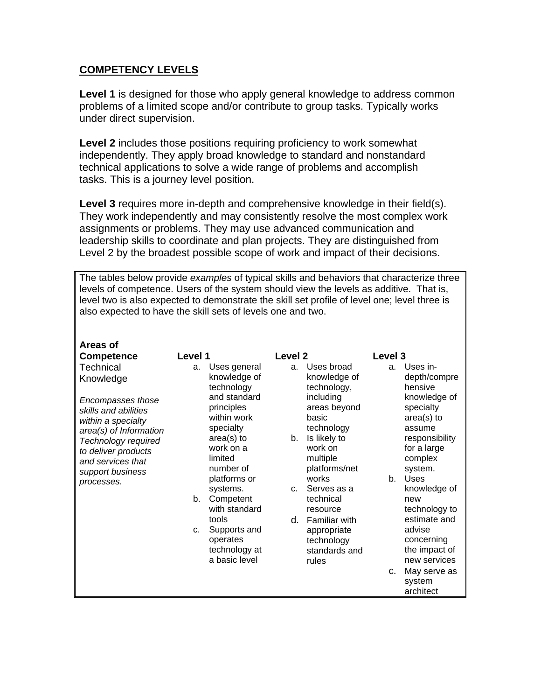## **COMPETENCY LEVELS**

**Level 1** is designed for those who apply general knowledge to address common problems of a limited scope and/or contribute to group tasks. Typically works under direct supervision.

**Level 2** includes those positions requiring proficiency to work somewhat independently. They apply broad knowledge to standard and nonstandard technical applications to solve a wide range of problems and accomplish tasks. This is a journey level position.

**Level 3** requires more in-depth and comprehensive knowledge in their field(s). They work independently and may consistently resolve the most complex work assignments or problems. They may use advanced communication and leadership skills to coordinate and plan projects. They are distinguished from Level 2 by the broadest possible scope of work and impact of their decisions.

The tables below provide *examples* of typical skills and behaviors that characterize three levels of competence. Users of the system should view the levels as additive. That is, level two is also expected to demonstrate the skill set profile of level one; level three is also expected to have the skill sets of levels one and two.

| <b>Areas of</b>                                                                           |                |                                                                     |                    |                                                                      |         |                                                                       |
|-------------------------------------------------------------------------------------------|----------------|---------------------------------------------------------------------|--------------------|----------------------------------------------------------------------|---------|-----------------------------------------------------------------------|
| <b>Competence</b>                                                                         | Level 1        |                                                                     | Level <sub>2</sub> |                                                                      | Level 3 |                                                                       |
| <b>Technical</b><br>Knowledge                                                             | a.             | Uses general<br>knowledge of<br>technology                          | a.                 | Uses broad<br>knowledge of<br>technology,                            | a.      | Uses in-<br>depth/compre<br>hensive                                   |
| Encompasses those<br>skills and abilities<br>within a specialty                           |                | and standard<br>principles<br>within work                           |                    | including<br>areas beyond<br>basic                                   |         | knowledge of<br>specialty<br>area(s) to                               |
| area(s) of Information<br>Technology required<br>to deliver products<br>and services that |                | specialty<br>$area(s)$ to<br>work on a<br>limited<br>number of      | b.                 | technology<br>Is likely to<br>work on<br>multiple<br>platforms/net   |         | assume<br>responsibility<br>for a large<br>complex<br>system.         |
| support business<br>processes.                                                            |                | platforms or                                                        |                    | works                                                                | $b_{-}$ | <b>Uses</b>                                                           |
|                                                                                           | b.             | systems.<br>Competent<br>with standard                              | C.                 | Serves as a<br>technical<br>resource                                 |         | knowledge of<br>new<br>technology to                                  |
|                                                                                           | C <sub>1</sub> | tools<br>Supports and<br>operates<br>technology at<br>a basic level | d.                 | Familiar with<br>appropriate<br>technology<br>standards and<br>rules |         | estimate and<br>advise<br>concerning<br>the impact of<br>new services |
|                                                                                           |                |                                                                     |                    |                                                                      | C.      | May serve as<br>system<br>architect                                   |
|                                                                                           |                |                                                                     |                    |                                                                      |         |                                                                       |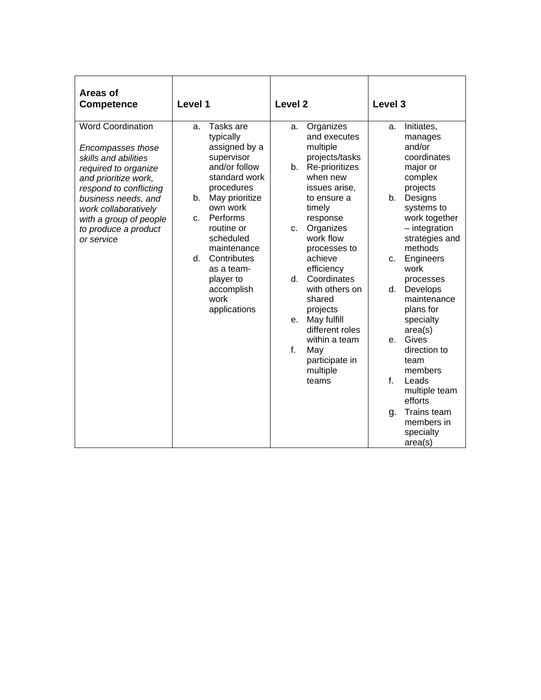| Areas of<br><b>Competence</b>                                                                                                                                                                                                                                  | Level 1                                                                                                                                                                                                                                                                                                    | Level <sub>2</sub>                                                                                                                                                                                                                                                                                                                                                                                         | Level 3                                                                                                                                                                                                                                                                                                                                                                                                                                                       |
|----------------------------------------------------------------------------------------------------------------------------------------------------------------------------------------------------------------------------------------------------------------|------------------------------------------------------------------------------------------------------------------------------------------------------------------------------------------------------------------------------------------------------------------------------------------------------------|------------------------------------------------------------------------------------------------------------------------------------------------------------------------------------------------------------------------------------------------------------------------------------------------------------------------------------------------------------------------------------------------------------|---------------------------------------------------------------------------------------------------------------------------------------------------------------------------------------------------------------------------------------------------------------------------------------------------------------------------------------------------------------------------------------------------------------------------------------------------------------|
| <b>Word Coordination</b><br>Encompasses those<br>skills and abilities<br>required to organize<br>and prioritize work,<br>respond to conflicting<br>business needs, and<br>work collaboratively<br>with a group of people<br>to produce a product<br>or service | Tasks are<br>a.<br>typically<br>assigned by a<br>supervisor<br>and/or follow<br>standard work<br>procedures<br>May prioritize<br>b.<br>own work<br>Performs<br>c.<br>routine or<br>scheduled<br>maintenance<br>Contributes<br>$d_{\cdot}$<br>as a team-<br>player to<br>accomplish<br>work<br>applications | Organizes<br>a.<br>and executes<br>multiple<br>projects/tasks<br>Re-prioritizes<br>b.<br>when new<br>issues arise.<br>to ensure a<br>timely<br>response<br>Organizes<br>C.<br>work flow<br>processes to<br>achieve<br>efficiency<br>Coordinates<br>d.<br>with others on<br>shared<br>projects<br>May fulfill<br>е.<br>different roles<br>within a team<br>f.<br>May<br>participate in<br>multiple<br>teams | Initiates,<br>a.<br>manages<br>and/or<br>coordinates<br>major or<br>complex<br>projects<br>Designs<br>b.<br>systems to<br>work together<br>$-$ integration<br>strategies and<br>methods<br>Engineers<br>c.<br>work<br>processes<br>Develops<br>d.<br>maintenance<br>plans for<br>specialty<br>area(s)<br>Gives<br>e.<br>direction to<br>team<br>members<br>f.<br>Leads<br>multiple team<br>efforts<br>Trains team<br>g.<br>members in<br>specialty<br>area(s) |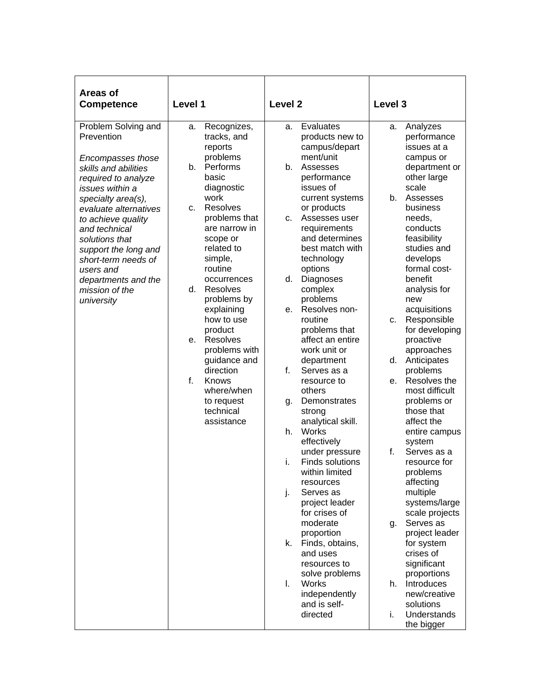| Areas of<br><b>Competence</b>                                                                                                                                                                                                                                                                                                                       | Level 1                                                                                                                                                                                                                                                                                                                                                                                                                                                                        | Level <sub>2</sub>                                                                                                                                                                                                                                                                                                                                                                                                                                                                                                                                                                                                                                                                                                                                                                                                                 | Level 3                                                                                                                                                                                                                                                                                                                                                                                                                                                                                                                                                                                                                                                                                                                                                                            |
|-----------------------------------------------------------------------------------------------------------------------------------------------------------------------------------------------------------------------------------------------------------------------------------------------------------------------------------------------------|--------------------------------------------------------------------------------------------------------------------------------------------------------------------------------------------------------------------------------------------------------------------------------------------------------------------------------------------------------------------------------------------------------------------------------------------------------------------------------|------------------------------------------------------------------------------------------------------------------------------------------------------------------------------------------------------------------------------------------------------------------------------------------------------------------------------------------------------------------------------------------------------------------------------------------------------------------------------------------------------------------------------------------------------------------------------------------------------------------------------------------------------------------------------------------------------------------------------------------------------------------------------------------------------------------------------------|------------------------------------------------------------------------------------------------------------------------------------------------------------------------------------------------------------------------------------------------------------------------------------------------------------------------------------------------------------------------------------------------------------------------------------------------------------------------------------------------------------------------------------------------------------------------------------------------------------------------------------------------------------------------------------------------------------------------------------------------------------------------------------|
| Problem Solving and<br>Prevention<br>Encompasses those<br>skills and abilities<br>required to analyze<br>issues within a<br>specialty area(s),<br>evaluate alternatives<br>to achieve quality<br>and technical<br>solutions that<br>support the long and<br>short-term needs of<br>users and<br>departments and the<br>mission of the<br>university | Recognizes,<br>а.<br>tracks, and<br>reports<br>problems<br>Performs<br>b.<br>basic<br>diagnostic<br>work<br><b>Resolves</b><br>c.<br>problems that<br>are narrow in<br>scope or<br>related to<br>simple,<br>routine<br>occurrences<br><b>Resolves</b><br>d.<br>problems by<br>explaining<br>how to use<br>product<br><b>Resolves</b><br>е.<br>problems with<br>guidance and<br>direction<br>$f_{\perp}$<br><b>Knows</b><br>where/when<br>to request<br>technical<br>assistance | Evaluates<br>a.<br>products new to<br>campus/depart<br>ment/unit<br>Assesses<br>b.<br>performance<br>issues of<br>current systems<br>or products<br>Assesses user<br>C.<br>requirements<br>and determines<br>best match with<br>technology<br>options<br>Diagnoses<br>d.<br>complex<br>problems<br>Resolves non-<br>е.<br>routine<br>problems that<br>affect an entire<br>work unit or<br>department<br>f.<br>Serves as a<br>resource to<br>others<br>Demonstrates<br>q.<br>strong<br>analytical skill.<br>Works<br>h.<br>effectively<br>under pressure<br>i.<br>Finds solutions<br>within limited<br>resources<br>j.<br>Serves as<br>project leader<br>for crises of<br>moderate<br>proportion<br>Finds, obtains,<br>k.<br>and uses<br>resources to<br>solve problems<br>I.<br>Works<br>independently<br>and is self-<br>directed | Analyzes<br>а.<br>performance<br>issues at a<br>campus or<br>department or<br>other large<br>scale<br>Assesses<br>b.<br>business<br>needs,<br>conducts<br>feasibility<br>studies and<br>develops<br>formal cost-<br>benefit<br>analysis for<br>new<br>acquisitions<br>Responsible<br>C.<br>for developing<br>proactive<br>approaches<br>Anticipates<br>d.<br>problems<br>Resolves the<br>е.<br>most difficult<br>problems or<br>those that<br>affect the<br>entire campus<br>system<br>f.<br>Serves as a<br>resource for<br>problems<br>affecting<br>multiple<br>systems/large<br>scale projects<br>Serves as<br>g.<br>project leader<br>for system<br>crises of<br>significant<br>proportions<br>Introduces<br>h.<br>new/creative<br>solutions<br>i.<br>Understands<br>the bigger |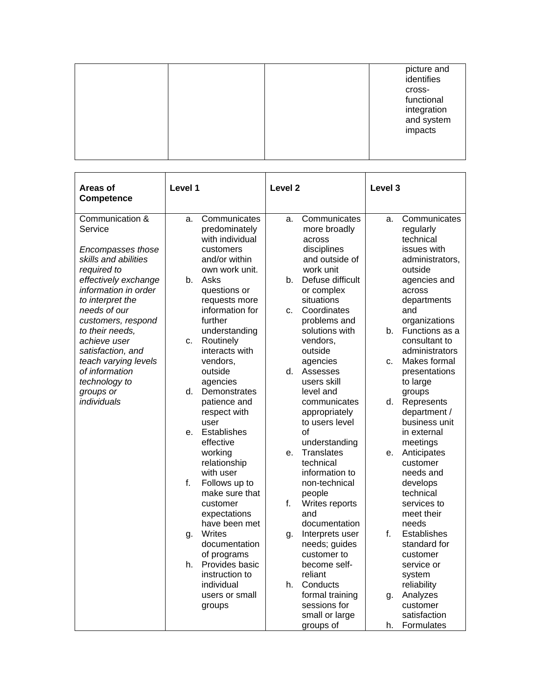|  | picture and<br>identifies                         |
|--|---------------------------------------------------|
|  | cross-<br>functional<br>integration<br>and system |
|  | impacts                                           |

| Areas of<br><b>Competence</b>                                                                                             | Level 1                                                                                                | Level <sub>2</sub>                                                                                        | Level 3                                                                                      |
|---------------------------------------------------------------------------------------------------------------------------|--------------------------------------------------------------------------------------------------------|-----------------------------------------------------------------------------------------------------------|----------------------------------------------------------------------------------------------|
| Communication &<br>Service<br>Encompasses those<br>skills and abilities<br>required to                                    | Communicates<br>a.<br>predominately<br>with individual<br>customers<br>and/or within<br>own work unit. | Communicates<br>a.<br>more broadly<br>across<br>disciplines<br>and outside of<br>work unit                | Communicates<br>a.<br>regularly<br>technical<br>issues with<br>administrators,<br>outside    |
| effectively exchange<br>information in order<br>to interpret the<br>needs of our<br>customers, respond<br>to their needs, | Asks<br>b.<br>questions or<br>requests more<br>information for<br>further<br>understanding             | Defuse difficult<br>b.<br>or complex<br>situations<br>Coordinates<br>C.<br>problems and<br>solutions with | agencies and<br>across<br>departments<br>and<br>organizations<br>Functions as a<br>b.        |
| achieve user<br>satisfaction, and<br>teach varying levels<br>of information<br>technology to<br>groups or                 | Routinely<br>c.<br>interacts with<br>vendors,<br>outside<br>agencies<br>Demonstrates<br>d.             | vendors,<br>outside<br>agencies<br>d.<br>Assesses<br>users skill<br>level and                             | consultant to<br>administrators<br>Makes formal<br>C.<br>presentations<br>to large<br>groups |
| individuals                                                                                                               | patience and<br>respect with<br>user<br><b>Establishes</b><br>е.<br>effective                          | communicates<br>appropriately<br>to users level<br>Ωf<br>understanding                                    | d.<br>Represents<br>department /<br>business unit<br>in external<br>meetings                 |
|                                                                                                                           | working<br>relationship<br>with user<br>f.<br>Follows up to<br>make sure that                          | <b>Translates</b><br>$e_{1}$<br>technical<br>information to<br>non-technical<br>people                    | Anticipates<br>е.<br>customer<br>needs and<br>develops<br>technical                          |
|                                                                                                                           | customer<br>expectations<br>have been met<br><b>Writes</b><br>g.                                       | f.<br>Writes reports<br>and<br>documentation<br>Interprets user<br>g.                                     | services to<br>meet their<br>needs<br>f<br>Establishes                                       |
|                                                                                                                           | documentation<br>of programs<br>Provides basic<br>h.<br>instruction to<br>individual                   | needs; guides<br>customer to<br>become self-<br>reliant<br>h.<br>Conducts                                 | standard for<br>customer<br>service or<br>system                                             |
|                                                                                                                           | users or small<br>groups                                                                               | formal training<br>sessions for<br>small or large<br>groups of                                            | reliability<br>Analyzes<br>g.<br>customer<br>satisfaction<br>h.<br>Formulates                |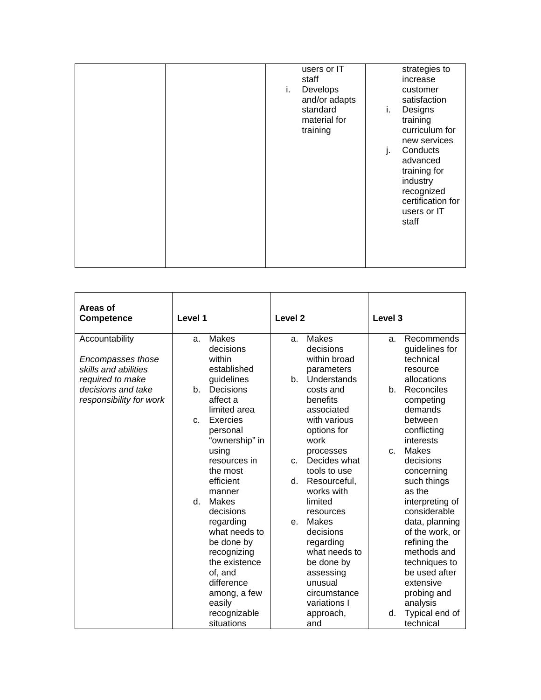|  | users or IT<br>staff<br>Develops<br>i.<br>and/or adapts<br>standard<br>material for<br>training | strategies to<br>increase<br>customer<br>satisfaction<br>Designs<br>i.<br>training<br>curriculum for<br>new services<br>Conducts<br>J.<br>advanced<br>training for<br>industry<br>recognized |
|--|-------------------------------------------------------------------------------------------------|----------------------------------------------------------------------------------------------------------------------------------------------------------------------------------------------|
|--|-------------------------------------------------------------------------------------------------|----------------------------------------------------------------------------------------------------------------------------------------------------------------------------------------------|

| Areas of<br><b>Competence</b>             | Level 1                   | Level <sub>2</sub>            | Level <sub>3</sub>           |
|-------------------------------------------|---------------------------|-------------------------------|------------------------------|
| Accountability                            | <b>Makes</b><br>a.        | <b>Makes</b><br>a.            | Recommends<br>a.             |
|                                           | decisions<br>within       | decisions<br>within broad     | guidelines for<br>technical  |
| Encompasses those<br>skills and abilities | established               | parameters                    | resource                     |
| required to make                          | guidelines                | <b>Understands</b><br>$b_{-}$ | allocations                  |
| decisions and take                        | Decisions<br>$b_{-}$      | costs and                     | Reconciles<br>$b_{-}$        |
| responsibility for work                   | affect a                  | benefits                      | competing                    |
|                                           | limited area              | associated                    | demands                      |
|                                           | Exercies<br>$C-$          | with various                  | between                      |
|                                           | personal                  | options for                   | conflicting                  |
|                                           | "ownership" in            | work                          | interests                    |
|                                           | using                     | processes                     | <b>Makes</b><br>$\mathbf{C}$ |
|                                           | resources in              | Decides what<br>$C_{n}$       | decisions                    |
|                                           | the most                  | tools to use                  | concerning                   |
|                                           | efficient                 | Resourceful,<br>d.            | such things                  |
|                                           | manner                    | works with                    | as the                       |
|                                           | d.<br>Makes               | limited                       | interpreting of              |
|                                           | decisions                 | resources                     | considerable                 |
|                                           | regarding                 | Makes<br>e.                   | data, planning               |
|                                           | what needs to             | decisions                     | of the work, or              |
|                                           | be done by<br>recognizing | regarding<br>what needs to    | refining the<br>methods and  |
|                                           | the existence             | be done by                    | techniques to                |
|                                           | of. and                   | assessing                     | be used after                |
|                                           | difference                | unusual                       | extensive                    |
|                                           | among, a few              | circumstance                  | probing and                  |
|                                           | easily                    | variations I                  | analysis                     |
|                                           | recognizable              | approach,                     | Typical end of<br>d.         |
|                                           | situations                | and                           | technical                    |